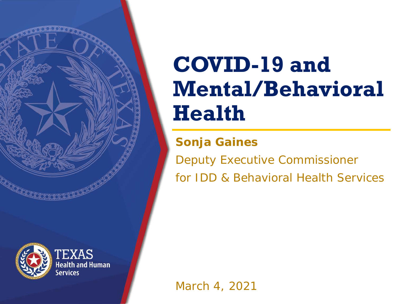



# **COVID-19 and Mental/Behavioral Health**

**Sonja Gaines** Deputy Executive Commissioner for IDD & Behavioral Health Services

March 4, 2021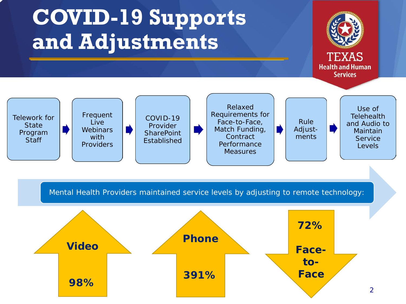## **COVID-19 Supports and Adjustments**





Mental Health Providers maintained service levels by adjusting to remote technology:

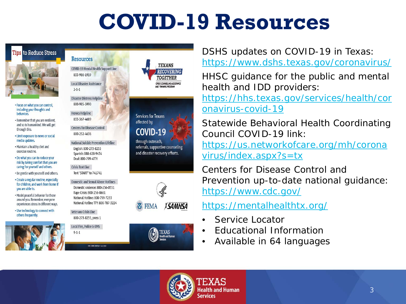## **COVID-19 Resources**



**Resources** 

833-986-1919

 $2 - 1 - 1$ 

**Local Disaster Assistance** 

**Disaster Distress Helpline** 800-985-5990

**Centers for Disease Control** 

English: 800-273-8255

Spanish: 888-628-9454

Deaf: 800-799-4TTY

**Crisis Text Line** Text "START" to 741741

National Suicide Prevention Lifeline

**Domestic and Sexual Abuse Hotlines** 

Domestic violence: 800-256-0551

National Hotline: 800-799-7233

National Hotline TTY: 800-787-3224

Rape Crisis: 800-256-0661

**Veterans Crisis Line** 

 $9 - 1 - 1$ 

800-273-8255, press 1

**Heroes Helpline** 

833-367-4689

800-232-4636

**COVID-19 Mental Health Support Line** 

· Focus on what you can control including your thoughts and behaviors.

- . Remember that you are resilient. and so is humankind. We will get through this.
- Limit exposure to news or social media updates.
- . Maintain a healthy diet and exercise routine.
- . Do what you can to reduce your risk by taking comfort that you are caring for yourself and others.
- . Be gentle with yourself and others.
- Create a regular routine, especially for children, and work from home if you are able to.
- . Model peaceful behavior for those around you. Remember, everyone experiences stress in different ways.
- . Use technology to connect with others frequently.







referrals, supportive counseling and disaster recovery efforts.



#### DSHS updates on COVID-19 in Texas: <https://www.dshs.texas.gov/coronavirus/>

HHSC guidance for the public and mental health and IDD providers:

[https://hhs.texas.gov/services/health/cor](https://hhs.texas.gov/services/health/coronavirus-covid-19) onavirus-covid-19

Statewide Behavioral Health Coordinating Council COVID-19 link: [https://us.networkofcare.org/mh/corona](https://us.networkofcare.org/mh/coronavirus/index.aspx?s=tx)

virus/index.aspx?s=tx

Centers for Disease Control and Prevention up-to-date national guidance: <https://www.cdc.gov/>

#### <https://mentalhealthtx.org/>

- Service Locator
- Educational Information
- Available in 64 languages

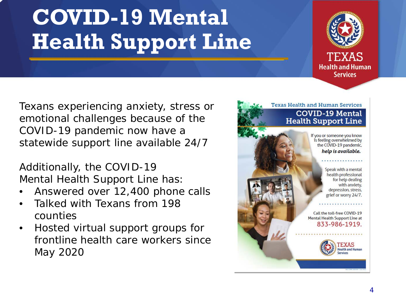# **COVID-19 Mental Health Support Line**



Texans experiencing anxiety, stress or emotional challenges because of the COVID-19 pandemic now have a statewide support line available 24/7

Additionally, the COVID-19 Mental Health Support Line has:

- Answered over 12,400 phone calls
- Talked with Texans from 198 counties
- Hosted virtual support groups for frontline health care workers since May 2020

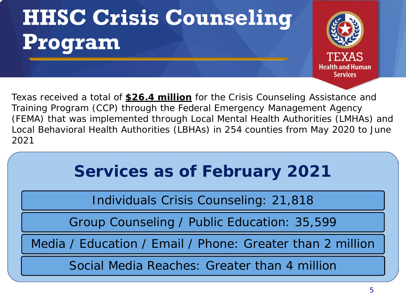# **HHSC Crisis Counseling Program**



Texas received a total of **\$26.4 million** for the Crisis Counseling Assistance and Training Program (CCP) through the Federal Emergency Management Agency (FEMA) that was implemented through Local Mental Health Authorities (LMHAs) and Local Behavioral Health Authorities (LBHAs) in 254 counties from May 2020 to June 2021

### **Services as of February 2021**

Individuals Crisis Counseling: 21,818

Group Counseling / Public Education: 35,599

Media / Education / Email / Phone: Greater than 2 million

Social Media Reaches: Greater than 4 million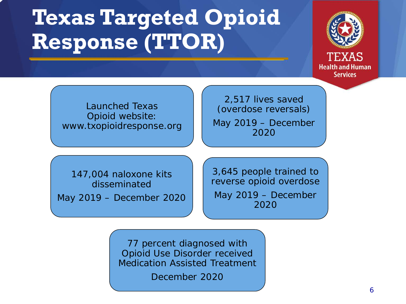## **Texas Targeted Opioid Response (TTOR)**



**Health and Human Services** 

Launched Texas Opioid website: www.txopioidresponse.org

2,517 lives saved (overdose reversals) May 2019 – December 2020

147,004 naloxone kits disseminated

May 2019 – December 2020

3,645 people trained to reverse opioid overdose May 2019 – December 2020

77 percent diagnosed with Opioid Use Disorder received Medication Assisted Treatment

December 2020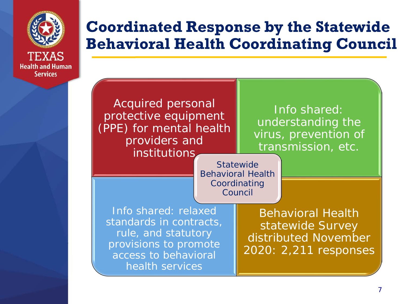

**Health and Human Services** 

**Coordinated Response by the Statewide Behavioral Health Coordinating Council**



Info shared: understanding the virus, prevention of transmission, etc.

**Statewide** Behavioral Health Coordinating Council

Info shared: relaxed standards in contracts, rule, and statutory provisions to promote access to behavioral health services

Behavioral Health statewide Survey distributed November 2020: 2,211 responses